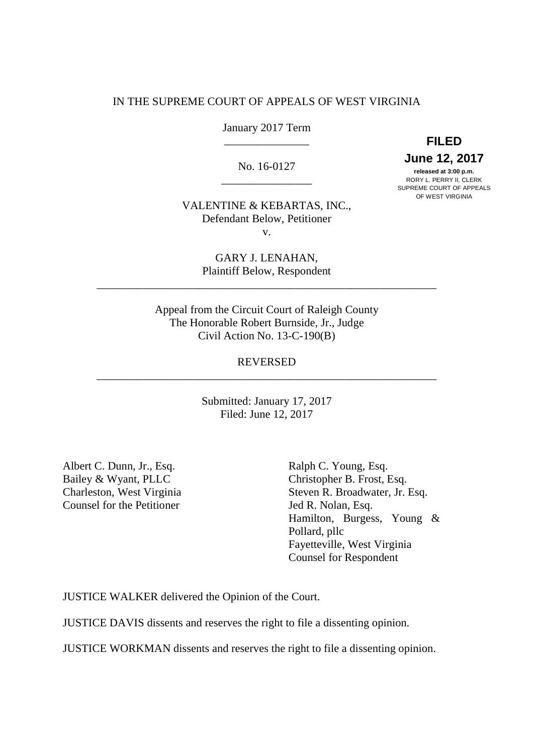## IN THE SUPREME COURT OF APPEALS OF WEST VIRGINIA

January 2017 Term

No. 16-0127

**12, 2017 <b>released at 3:00 p.m.**<br> **Released at 3:00 p.m.** released at 3:00 p.m. \_\_\_\_\_\_\_\_\_\_\_\_\_\_\_\_ RORY L. PERRY II, CLERK SUPREME COURT OF APPEALS

\_\_\_\_\_\_\_\_\_\_\_\_\_\_\_ **FILED** 

OF WEST VIRGINIA

 VALENTINE & KEBARTAS, INC., Defendant Below, Petitioner v.

> GARY J. LENAHAN, Plaintiff Below, Respondent

\_\_\_\_\_\_\_\_\_\_\_\_\_\_\_\_\_\_\_\_\_\_\_\_\_\_\_\_\_\_\_\_\_\_\_\_\_\_\_\_\_\_\_\_\_\_\_\_\_\_\_\_\_\_\_\_\_\_\_\_

 Appeal from the Circuit Court of Raleigh County The Honorable Robert Burnside, Jr., Judge Civil Action No. 13-C-190(B)

# REVERSED \_\_\_\_\_\_\_\_\_\_\_\_\_\_\_\_\_\_\_\_\_\_\_\_\_\_\_\_\_\_\_\_\_\_\_\_\_\_\_\_\_\_\_\_\_\_\_\_\_\_\_\_\_\_\_\_\_\_\_\_

 Submitted: January 17, 2017 Filed: June 12, 2017

Albert C. Dunn, Jr., Esq. Ralph C. Young, Esq. Bailey & Wyant, PLLC Charleston, West Virginia Counsel for the Petitioner **Jed R. Nolan, Esq.** 

Ralph C. Young, Esq. Bailey & Wyant, PLLC Christopher B. Frost, Esq. Charleston, West Virginia Steven R. Broadwater, Jr. Esq. Jed R. Nolan, Esq. Hamilton, Burgess, Young & Pollard, pllc Fayetteville, West Virginia Counsel for Respondent

JUSTICE WALKER delivered the Opinion of the Court.

JUSTICE DAVIS dissents and reserves the right to file a dissenting opinion.

JUSTICE WORKMAN dissents and reserves the right to file a dissenting opinion.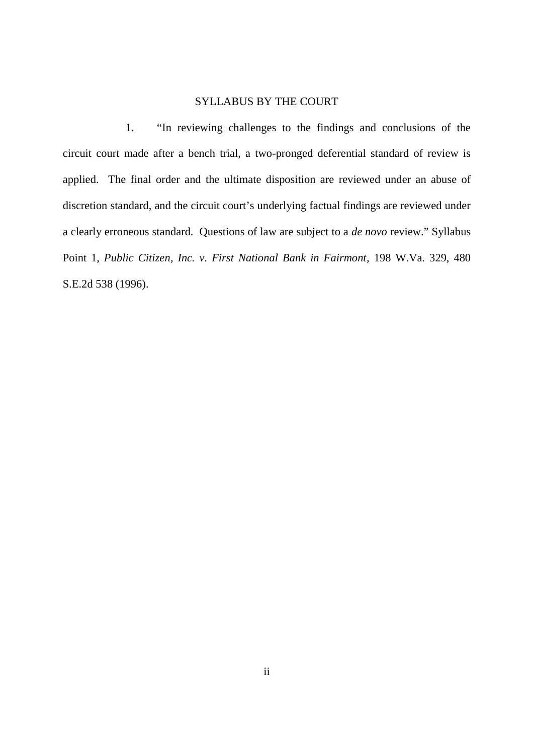## SYLLABUS BY THE COURT

 $1.$  circuit court made after a bench trial, a two-pronged deferential standard of review is applied. The final order and the ultimate disposition are reviewed under an abuse of discretion standard, and the circuit court's underlying factual findings are reviewed under a clearly erroneous standard. Questions of law are subject to a *de novo* review." Syllabus Point 1, *Public Citizen, Inc. v. First National Bank in Fairmont,* 198 W.Va. 329, 480 S.E.2d 538 (1996). 1. "In reviewing challenges to the findings and conclusions of the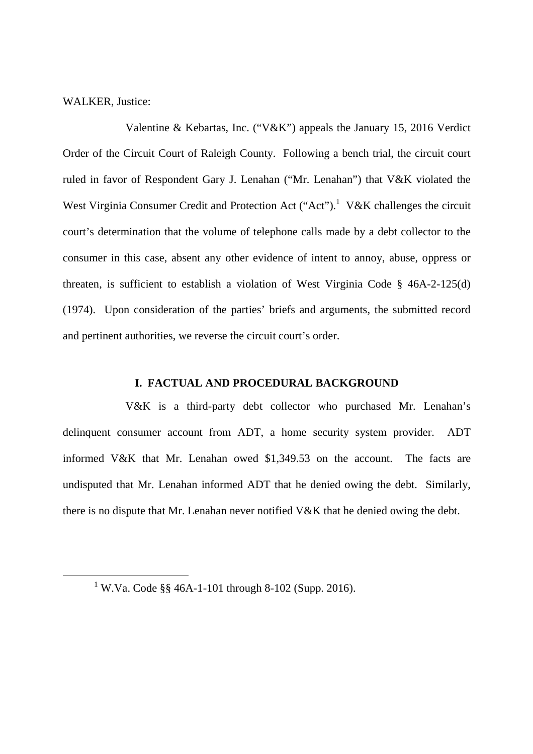WALKER, Justice:

-

 Valentine & Kebartas, Inc. ("V&K") appeals the January 15, 2016 Verdict Order of the Circuit Court of Raleigh County. Following a bench trial, the circuit court ruled in favor of Respondent Gary J. Lenahan ("Mr. Lenahan") that V&K violated the West Virginia Consumer Credit and Protection Act ("Act").<sup>1</sup> V&K challenges the circuit court's determination that the volume of telephone calls made by a debt collector to the consumer in this case, absent any other evidence of intent to annoy, abuse, oppress or threaten, is sufficient to establish a violation of West Virginia Code § 46A-2-125(d) (1974). Upon consideration of the parties' briefs and arguments, the submitted record and pertinent authorities, we reverse the circuit court's order.

## **I. FACTUAL AND PROCEDURAL BACKGROUND**

 V&K is a third-party debt collector who purchased Mr. Lenahan's delinquent consumer account from ADT, a home security system provider. ADT informed V&K that Mr. Lenahan owed \$1,349.53 on the account. The facts are undisputed that Mr. Lenahan informed ADT that he denied owing the debt. Similarly, there is no dispute that Mr. Lenahan never notified V&K that he denied owing the debt.

<sup>&</sup>lt;sup>1</sup> W.Va. Code §§ 46A-1-101 through 8-102 (Supp. 2016).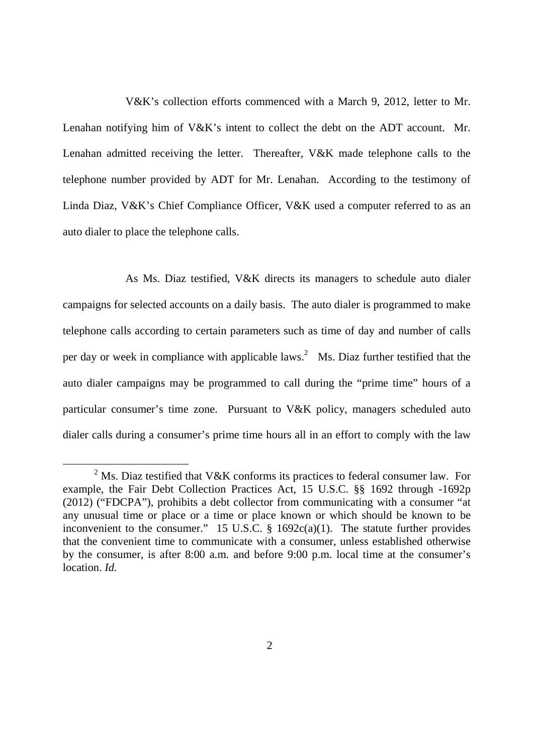V&K's collection efforts commenced with a March 9, 2012, letter to Mr. Lenahan notifying him of V&K's intent to collect the debt on the ADT account. Mr. Lenahan admitted receiving the letter. Thereafter, V&K made telephone calls to the telephone number provided by ADT for Mr. Lenahan. According to the testimony of Linda Diaz, V&K's Chief Compliance Officer, V&K used a computer referred to as an auto dialer to place the telephone calls.

 As Ms. Diaz testified, V&K directs its managers to schedule auto dialer campaigns for selected accounts on a daily basis. The auto dialer is programmed to make telephone calls according to certain parameters such as time of day and number of calls per day or week in compliance with applicable laws.<sup>2</sup> Ms. Diaz further testified that the auto dialer campaigns may be programmed to call during the "prime time" hours of a particular consumer's time zone. Pursuant to V&K policy, managers scheduled auto dialer calls during a consumer's prime time hours all in an effort to comply with the law

 $\overline{a}$ 

<sup>&</sup>lt;sup>2</sup> Ms. Diaz testified that V&K conforms its practices to federal consumer law. For example, the Fair Debt Collection Practices Act, 15 U.S.C. §§ 1692 through -1692p (2012) ("FDCPA"), prohibits a debt collector from communicating with a consumer "at any unusual time or place or a time or place known or which should be known to be inconvenient to the consumer." 15 U.S.C.  $\S$  1692c(a)(1). The statute further provides that the convenient time to communicate with a consumer, unless established otherwise by the consumer, is after 8:00 a.m. and before 9:00 p.m. local time at the consumer's location. *Id.*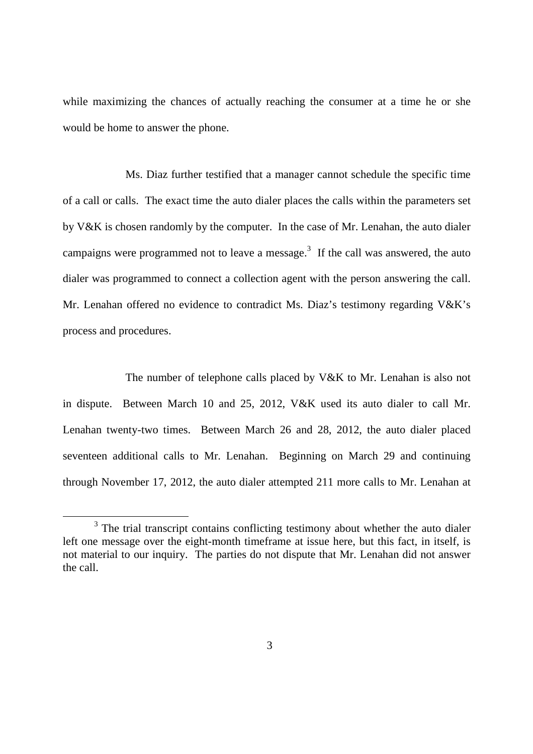while maximizing the chances of actually reaching the consumer at a time he or she would be home to answer the phone.

 Ms. Diaz further testified that a manager cannot schedule the specific time of a call or calls. The exact time the auto dialer places the calls within the parameters set by V&K is chosen randomly by the computer. In the case of Mr. Lenahan, the auto dialer campaigns were programmed not to leave a message.<sup>3</sup> If the call was answered, the auto dialer was programmed to connect a collection agent with the person answering the call. Mr. Lenahan offered no evidence to contradict Ms. Diaz's testimony regarding V&K's process and procedures.

 The number of telephone calls placed by V&K to Mr. Lenahan is also not in dispute. Between March 10 and 25, 2012, V&K used its auto dialer to call Mr. Lenahan twenty-two times. Between March 26 and 28, 2012, the auto dialer placed seventeen additional calls to Mr. Lenahan. Beginning on March 29 and continuing through November 17, 2012, the auto dialer attempted 211 more calls to Mr. Lenahan at

 $3$  The trial transcript contains conflicting testimony about whether the auto dialer left one message over the eight-month timeframe at issue here, but this fact, in itself, is not material to our inquiry. The parties do not dispute that Mr. Lenahan did not answer the call.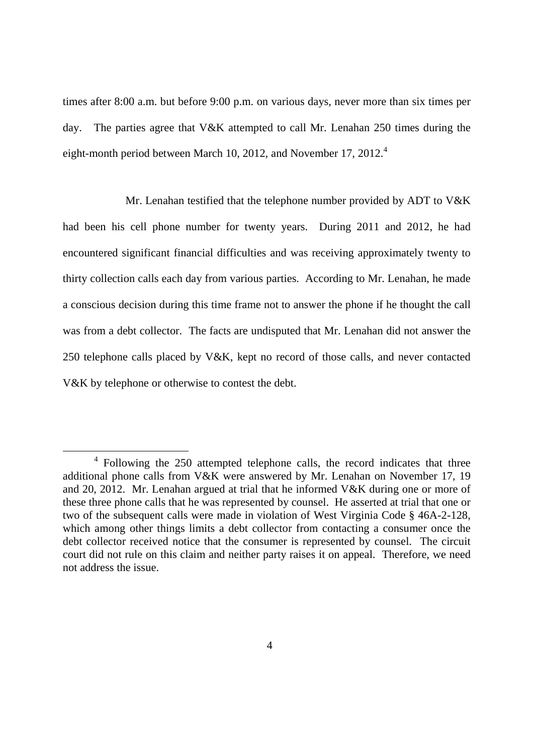times after 8:00 a.m. but before 9:00 p.m. on various days, never more than six times per day. eight-month period between March 10, 2012, and November 17, 2012. $4$ The parties agree that V&K attempted to call Mr. Lenahan 250 times during the

 Mr. Lenahan testified that the telephone number provided by ADT to V&K had been his cell phone number for twenty years. During 2011 and 2012, he had encountered significant financial difficulties and was receiving approximately twenty to thirty collection calls each day from various parties. According to Mr. Lenahan, he made a conscious decision during this time frame not to answer the phone if he thought the call was from a debt collector. The facts are undisputed that Mr. Lenahan did not answer the 250 telephone calls placed by V&K, kept no record of those calls, and never contacted V&K by telephone or otherwise to contest the debt.

 $4$  Following the 250 attempted telephone calls, the record indicates that three additional phone calls from V&K were answered by Mr. Lenahan on November 17, 19 and 20, 2012. Mr. Lenahan argued at trial that he informed V&K during one or more of these three phone calls that he was represented by counsel. He asserted at trial that one or two of the subsequent calls were made in violation of West Virginia Code § 46A-2-128, which among other things limits a debt collector from contacting a consumer once the debt collector received notice that the consumer is represented by counsel. The circuit court did not rule on this claim and neither party raises it on appeal. Therefore, we need not address the issue.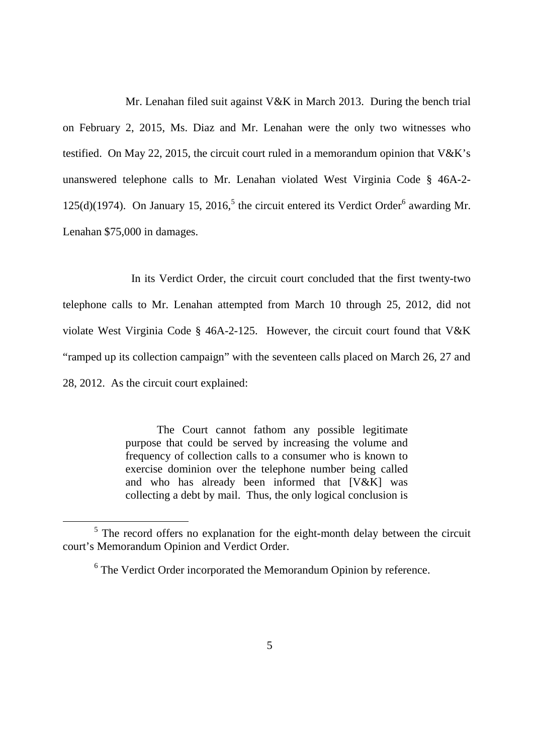Mr. Lenahan filed suit against V&K in March 2013. During the bench trial on February 2, 2015, Ms. Diaz and Mr. Lenahan were the only two witnesses who testified. On May 22, 2015, the circuit court ruled in a memorandum opinion that V&K's unanswered telephone calls to Mr. Lenahan violated West Virginia Code § 46A-2 125(d)(1974). On January 15, 2016,<sup>5</sup> the circuit entered its Verdict Order<sup>6</sup> awarding Mr. Lenahan \$75,000 in damages.

 telephone calls to Mr. Lenahan attempted from March 10 through 25, 2012, did not violate West Virginia Code § 46A-2-125. However, the circuit court found that V&K "ramped up its collection campaign" with the seventeen calls placed on March 26, 27 and 28, 2012. As the circuit court explained: In its Verdict Order, the circuit court concluded that the first twenty-two

> The Court cannot fathom any possible legitimate purpose that could be served by increasing the volume and frequency of collection calls to a consumer who is known to exercise dominion over the telephone number being called and who has already been informed that [V&K] was collecting a debt by mail. Thus, the only logical conclusion is

 $5$  The record offers no explanation for the eight-month delay between the circuit court's Memorandum Opinion and Verdict Order.

 $6$  The Verdict Order incorporated the Memorandum Opinion by reference.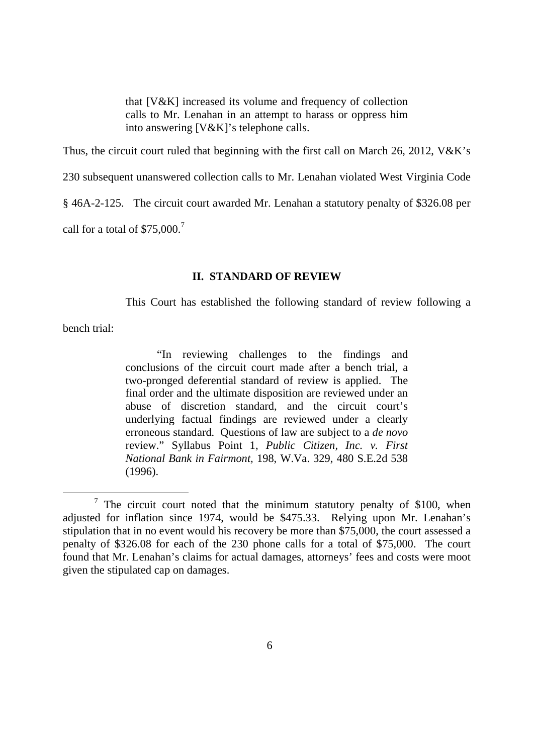that [V&K] increased its volume and frequency of collection calls to Mr. Lenahan in an attempt to harass or oppress him into answering [V&K]'s telephone calls.

Thus, the circuit court ruled that beginning with the first call on March 26, 2012, V&K's

230 subsequent unanswered collection calls to Mr. Lenahan violated West Virginia Code

§ 46A-2-125. The circuit court awarded Mr. Lenahan a statutory penalty of \$326.08 per

call for a total of  $$75,000.<sup>7</sup>$ 

## **II. STANDARD OF REVIEW**

This Court has established the following standard of review following a

bench trial:

-

 "In reviewing challenges to the findings and conclusions of the circuit court made after a bench trial, a two-pronged deferential standard of review is applied. The final order and the ultimate disposition are reviewed under an abuse of discretion standard, and the circuit court's underlying factual findings are reviewed under a clearly erroneous standard. Questions of law are subject to a *de novo*  review." Syllabus Point 1, *Public Citizen, Inc. v. First National Bank in Fairmont,* 198, W.Va. 329, 480 S.E.2d 538 (1996).

 $7$  The circuit court noted that the minimum statutory penalty of \$100, when adjusted for inflation since 1974, would be \$475.33. Relying upon Mr. Lenahan's stipulation that in no event would his recovery be more than \$75,000, the court assessed a penalty of \$326.08 for each of the 230 phone calls for a total of \$75,000. The court found that Mr. Lenahan's claims for actual damages, attorneys' fees and costs were moot given the stipulated cap on damages.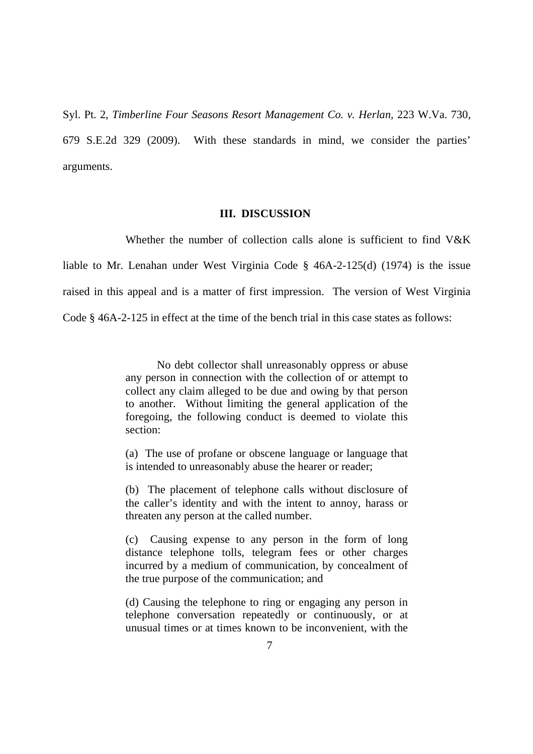Syl. Pt. 2, *Timberline Four Seasons Resort Management Co. v. Herlan,* 223 W.Va. 730, 679 S.E.2d 329 (2009). With these standards in mind, we consider the parties' arguments.

## **III. DISCUSSION**

 Whether the number of collection calls alone is sufficient to find V&K liable to Mr. Lenahan under West Virginia Code § 46A-2-125(d) (1974) is the issue raised in this appeal and is a matter of first impression. The version of West Virginia Code § 46A-2-125 in effect at the time of the bench trial in this case states as follows:

> No debt collector shall unreasonably oppress or abuse any person in connection with the collection of or attempt to collect any claim alleged to be due and owing by that person to another. Without limiting the general application of the foregoing, the following conduct is deemed to violate this section:

> (a) The use of profane or obscene language or language that is intended to unreasonably abuse the hearer or reader;

> (b) The placement of telephone calls without disclosure of the caller's identity and with the intent to annoy, harass or threaten any person at the called number.

> (c) Causing expense to any person in the form of long distance telephone tolls, telegram fees or other charges incurred by a medium of communication, by concealment of the true purpose of the communication; and

> (d) Causing the telephone to ring or engaging any person in telephone conversation repeatedly or continuously, or at unusual times or at times known to be inconvenient, with the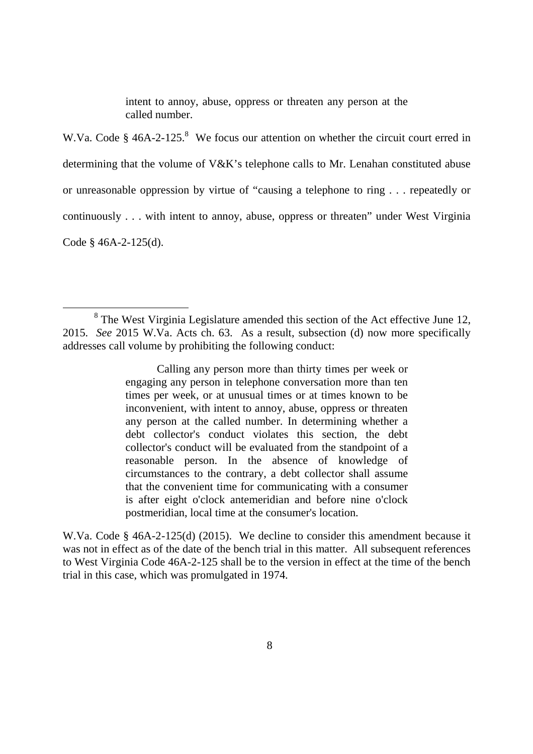intent to annoy, abuse, oppress or threaten any person at the called number.

W.Va. Code  $\S$  46A-2-125.<sup>8</sup> We focus our attention on whether the circuit court erred in determining that the volume of V&K's telephone calls to Mr. Lenahan constituted abuse or unreasonable oppression by virtue of "causing a telephone to ring . . . repeatedly or continuously . . . with intent to annoy, abuse, oppress or threaten" under West Virginia Code § 46A-2-125(d).

 $\overline{a}$ 

 Calling any person more than thirty times per week or engaging any person in telephone conversation more than ten times per week, or at unusual times or at times known to be inconvenient, with intent to annoy, abuse, oppress or threaten any person at the called number. In determining whether a debt collector's conduct violates this section, the debt collector's conduct will be evaluated from the standpoint of a reasonable person. In the absence of knowledge of circumstances to the contrary, a debt collector shall assume that the convenient time for communicating with a consumer is after eight o'clock antemeridian and before nine o'clock postmeridian, local time at the consumer's location.

 W.Va. Code § 46A-2-125(d) (2015). We decline to consider this amendment because it was not in effect as of the date of the bench trial in this matter. All subsequent references to West Virginia Code 46A-2-125 shall be to the version in effect at the time of the bench trial in this case, which was promulgated in 1974.

 $8$  The West Virginia Legislature amended this section of the Act effective June 12, 2015. *See* 2015 W.Va. Acts ch. 63. As a result, subsection (d) now more specifically addresses call volume by prohibiting the following conduct: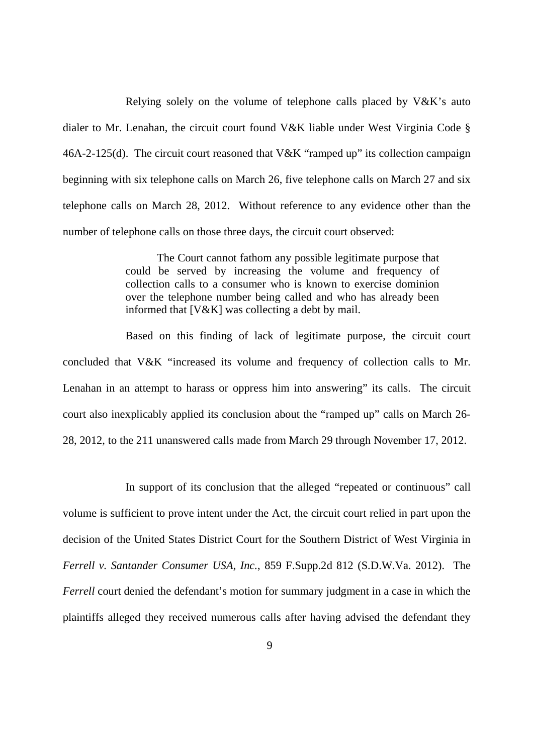Relying solely on the volume of telephone calls placed by V&K's auto dialer to Mr. Lenahan, the circuit court found V&K liable under West Virginia Code § 46A-2-125(d). The circuit court reasoned that V&K "ramped up" its collection campaign beginning with six telephone calls on March 26, five telephone calls on March 27 and six telephone calls on March 28, 2012. Without reference to any evidence other than the number of telephone calls on those three days, the circuit court observed:

> The Court cannot fathom any possible legitimate purpose that could be served by increasing the volume and frequency of collection calls to a consumer who is known to exercise dominion over the telephone number being called and who has already been informed that [V&K] was collecting a debt by mail.

 Based on this finding of lack of legitimate purpose, the circuit court concluded that V&K "increased its volume and frequency of collection calls to Mr. Lenahan in an attempt to harass or oppress him into answering" its calls. The circuit court also inexplicably applied its conclusion about the "ramped up" calls on March 26 28, 2012, to the 211 unanswered calls made from March 29 through November 17, 2012.

 In support of its conclusion that the alleged "repeated or continuous" call volume is sufficient to prove intent under the Act, the circuit court relied in part upon the decision of the United States District Court for the Southern District of West Virginia in  *Ferrell v. Santander Consumer USA, Inc.*, 859 F.Supp.2d 812 (S.D.W.Va. 2012). The *Ferrell* court denied the defendant's motion for summary judgment in a case in which the plaintiffs alleged they received numerous calls after having advised the defendant they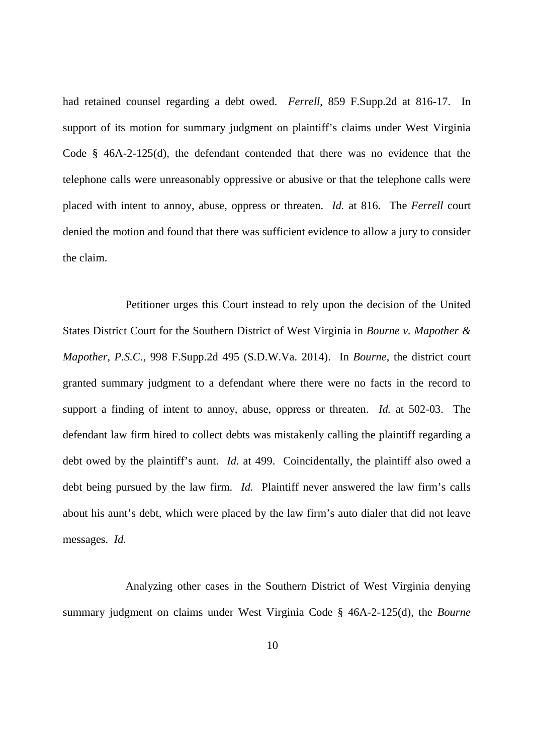had retained counsel regarding a debt owed. *Ferrell*, 859 F.Supp.2d at 816-17. In support of its motion for summary judgment on plaintiff's claims under West Virginia Code § 46A-2-125(d), the defendant contended that there was no evidence that the telephone calls were unreasonably oppressive or abusive or that the telephone calls were placed with intent to annoy, abuse, oppress or threaten. *Id.* at 816. The *Ferrell* court denied the motion and found that there was sufficient evidence to allow a jury to consider the claim.

 Petitioner urges this Court instead to rely upon the decision of the United States District Court for the Southern District of West Virginia in *Bourne v. Mapother & Mapother, P.S.C*., 998 F.Supp.2d 495 (S.D.W.Va. 2014). In *Bourne*, the district court granted summary judgment to a defendant where there were no facts in the record to support a finding of intent to annoy, abuse, oppress or threaten. *Id.* at 502-03. The defendant law firm hired to collect debts was mistakenly calling the plaintiff regarding a debt owed by the plaintiff's aunt. *Id.* at 499. Coincidentally, the plaintiff also owed a debt being pursued by the law firm. *Id.* Plaintiff never answered the law firm's calls about his aunt's debt, which were placed by the law firm's auto dialer that did not leave messages. *Id.* 

 Analyzing other cases in the Southern District of West Virginia denying summary judgment on claims under West Virginia Code § 46A-2-125(d), the *Bourne*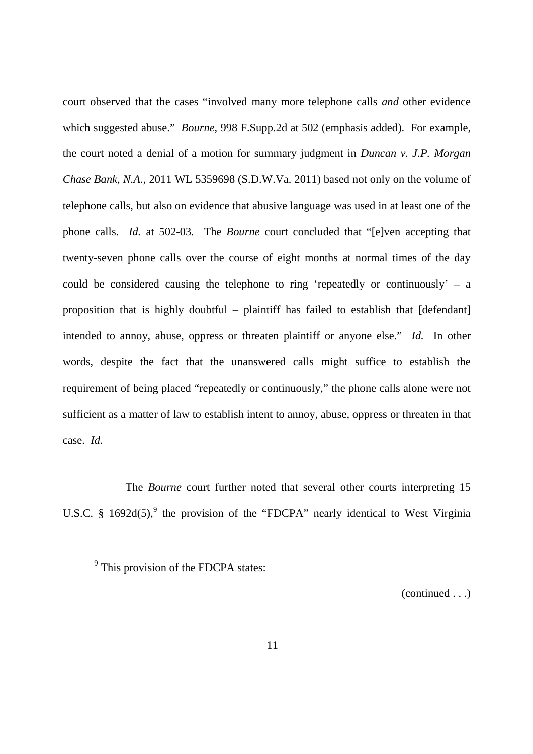court observed that the cases "involved many more telephone calls *and* other evidence which suggested abuse." *Bourne*, 998 F.Supp.2d at 502 (emphasis added). For example, the court noted a denial of a motion for summary judgment in *Duncan v. J.P. Morgan*  Chase Bank, N.A., 2011 WL 5359698 (S.D.W.Va. 2011) based not only on the volume of telephone calls, but also on evidence that abusive language was used in at least one of the phone calls. *Id.* at 502-03. The *Bourne* court concluded that "[e]ven accepting that twenty-seven phone calls over the course of eight months at normal times of the day could be considered causing the telephone to ring 'repeatedly or continuously' – a proposition that is highly doubtful – plaintiff has failed to establish that [defendant] intended to annoy, abuse, oppress or threaten plaintiff or anyone else." *Id.* In other words, despite the fact that the unanswered calls might suffice to establish the requirement of being placed "repeatedly or continuously," the phone calls alone were not sufficient as a matter of law to establish intent to annoy, abuse, oppress or threaten in that case. *Id.* 

 The *Bourne* court further noted that several other courts interpreting 15 U.S.C. § 1692d(5),  $9$  the provision of the "FDCPA" nearly identical to West Virginia

-

(continued . . .)

 $9$  This provision of the FDCPA states: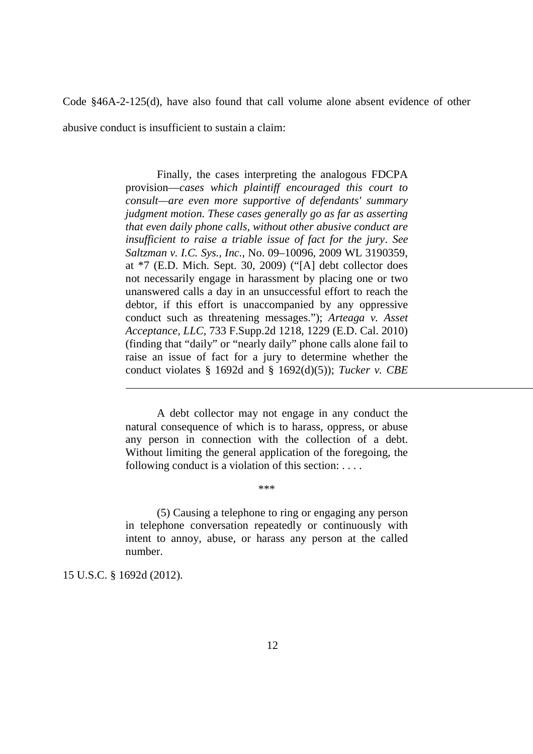Code §46A-2-125(d), have also found that call volume alone absent evidence of other abusive conduct is insufficient to sustain a claim:

> Finally, the cases interpreting the analogous FDCPA  provision—*cases which plaintiff encouraged this court to consult—are even more supportive of defendants' summary judgment motion. These cases generally go as far as asserting that even daily phone calls, without other abusive conduct are insufficient to raise a triable issue of fact for the jury*. *See Saltzman v. I.C. Sys., Inc.*, No. 09–10096, 2009 WL 3190359, at \*7 (E.D. Mich. Sept. 30, 2009) ("[A] debt collector does not necessarily engage in harassment by placing one or two unanswered calls a day in an unsuccessful effort to reach the debtor, if this effort is unaccompanied by any oppressive conduct such as threatening messages."); *Arteaga v. Asset Acceptance, LLC*, 733 F.Supp.2d 1218, 1229 (E.D. Cal. 2010) (finding that "daily" or "nearly daily" phone calls alone fail to raise an issue of fact for a jury to determine whether the conduct violates § 1692d and § 1692(d)(5)); *Tucker v. CBE*

> A debt collector may not engage in any conduct the natural consequence of which is to harass, oppress, or abuse any person in connection with the collection of a debt. Without limiting the general application of the foregoing, the following conduct is a violation of this section: . . . .

> > \*\*\*

 (5) Causing a telephone to ring or engaging any person in telephone conversation repeatedly or continuously with intent to annoy, abuse, or harass any person at the called number.

15 U.S.C. § 1692d (2012).

 $\overline{a}$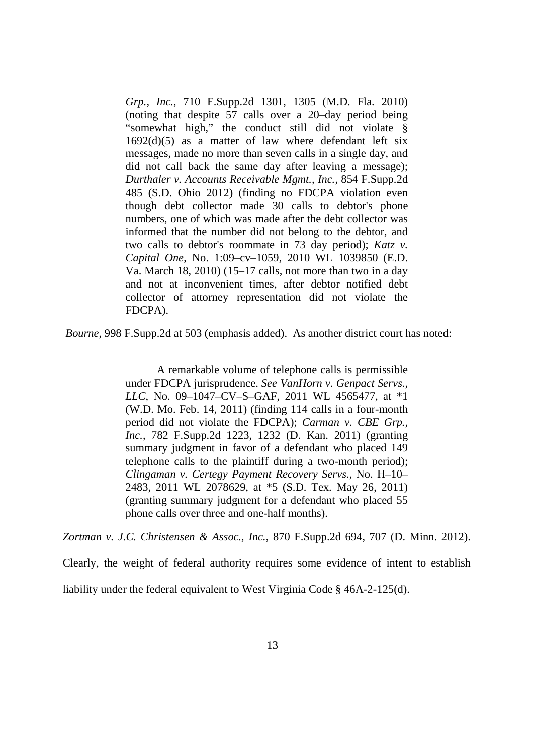*Grp., Inc.*, 710 F.Supp.2d 1301, 1305 (M.D. Fla. 2010) (noting that despite 57 calls over a 20–day period being "somewhat high," the conduct still did not violate §  $1692(d)(5)$  as a matter of law where defendant left six messages, made no more than seven calls in a single day, and did not call back the same day after leaving a message);  *Durthaler v. Accounts Receivable Mgmt., Inc.*, 854 F.Supp.2d 485 (S.D. Ohio 2012) (finding no FDCPA violation even though debt collector made 30 calls to debtor's phone numbers, one of which was made after the debt collector was informed that the number did not belong to the debtor, and two calls to debtor's roommate in 73 day period); *Katz v. Capital One*, No. 1:09–cv–1059, 2010 WL 1039850 (E.D. Va. March 18, 2010) (15–17 calls, not more than two in a day and not at inconvenient times, after debtor notified debt collector of attorney representation did not violate the FDCPA).

*Bourne*, 998 F.Supp.2d at 503 (emphasis added). As another district court has noted:

 A remarkable volume of telephone calls is permissible under FDCPA jurisprudence. *See VanHorn v. Genpact Servs., LLC*, No. 09–1047–CV–S–GAF, 2011 WL 4565477, at \*1 (W.D. Mo. Feb. 14, 2011) (finding 114 calls in a four-month period did not violate the FDCPA); *Carman v. CBE Grp., Inc.*, 782 F.Supp.2d 1223, 1232 (D. Kan. 2011) (granting summary judgment in favor of a defendant who placed 149 telephone calls to the plaintiff during a two-month period);  *Clingaman v. Certegy Payment Recovery Servs.*, No. H–10– 2483, 2011 WL 2078629, at \*5 (S.D. Tex. May 26, 2011) (granting summary judgment for a defendant who placed 55 phone calls over three and one-half months).

 *Zortman v. J.C. Christensen & Assoc., Inc.*, 870 F.Supp.2d 694, 707 (D. Minn. 2012).

Clearly, the weight of federal authority requires some evidence of intent to establish

liability under the federal equivalent to West Virginia Code § 46A-2-125(d).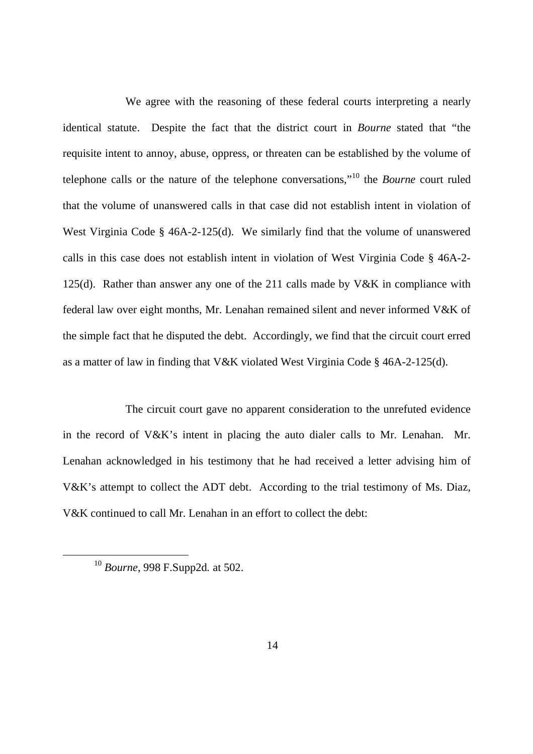We agree with the reasoning of these federal courts interpreting a nearly identical statute. Despite the fact that the district court in *Bourne* stated that "the requisite intent to annoy, abuse, oppress, or threaten can be established by the volume of telephone calls or the nature of the telephone conversations,"10 the *Bourne* court ruled that the volume of unanswered calls in that case did not establish intent in violation of West Virginia Code § 46A-2-125(d). We similarly find that the volume of unanswered calls in this case does not establish intent in violation of West Virginia Code § 46A-2 125(d). Rather than answer any one of the 211 calls made by V&K in compliance with federal law over eight months, Mr. Lenahan remained silent and never informed V&K of the simple fact that he disputed the debt. Accordingly, we find that the circuit court erred as a matter of law in finding that V&K violated West Virginia Code § 46A-2-125(d).

 The circuit court gave no apparent consideration to the unrefuted evidence in the record of V&K's intent in placing the auto dialer calls to Mr. Lenahan. Mr. Lenahan acknowledged in his testimony that he had received a letter advising him of V&K's attempt to collect the ADT debt. According to the trial testimony of Ms. Diaz, V&K continued to call Mr. Lenahan in an effort to collect the debt:

 <sup>10</sup>*Bourne*, 998 F.Supp2d*.* at 502.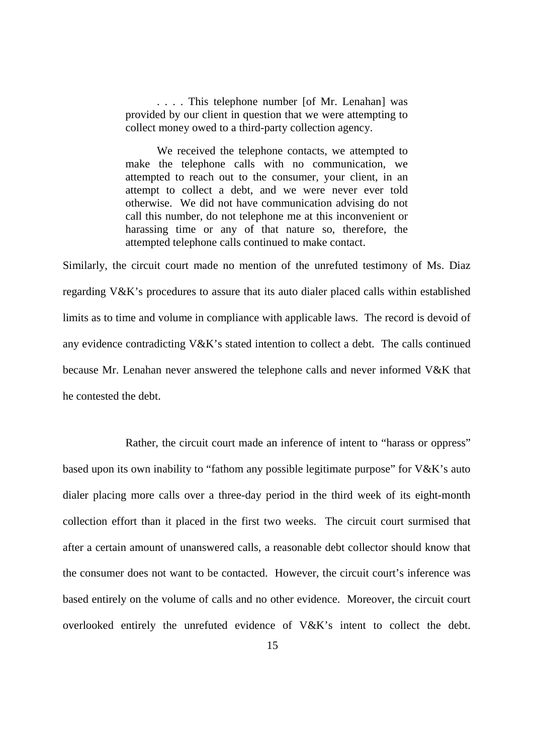. . . . This telephone number [of Mr. Lenahan] was provided by our client in question that we were attempting to collect money owed to a third-party collection agency.

 We received the telephone contacts, we attempted to make the telephone calls with no communication, we attempted to reach out to the consumer, your client, in an attempt to collect a debt, and we were never ever told otherwise. We did not have communication advising do not call this number, do not telephone me at this inconvenient or harassing time or any of that nature so, therefore, the attempted telephone calls continued to make contact.

 Similarly, the circuit court made no mention of the unrefuted testimony of Ms. Diaz regarding V&K's procedures to assure that its auto dialer placed calls within established limits as to time and volume in compliance with applicable laws. The record is devoid of any evidence contradicting V&K's stated intention to collect a debt. The calls continued because Mr. Lenahan never answered the telephone calls and never informed V&K that he contested the debt.

 Rather, the circuit court made an inference of intent to "harass or oppress" based upon its own inability to "fathom any possible legitimate purpose" for V&K's auto collection effort than it placed in the first two weeks. The circuit court surmised that after a certain amount of unanswered calls, a reasonable debt collector should know that the consumer does not want to be contacted. However, the circuit court's inference was based entirely on the volume of calls and no other evidence. Moreover, the circuit court overlooked entirely the unrefuted evidence of V&K's intent to collect the debt. dialer placing more calls over a three-day period in the third week of its eight-month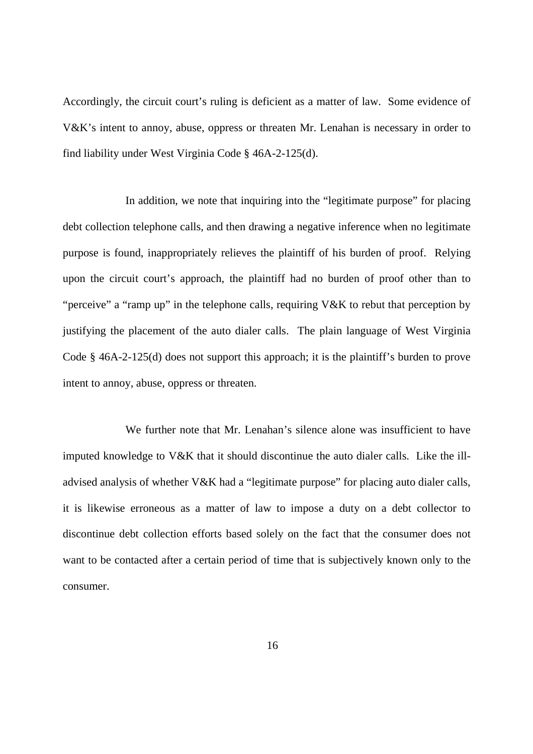Accordingly, the circuit court's ruling is deficient as a matter of law. Some evidence of V&K's intent to annoy, abuse, oppress or threaten Mr. Lenahan is necessary in order to find liability under West Virginia Code § 46A-2-125(d).

 In addition, we note that inquiring into the "legitimate purpose" for placing debt collection telephone calls, and then drawing a negative inference when no legitimate purpose is found, inappropriately relieves the plaintiff of his burden of proof. Relying upon the circuit court's approach, the plaintiff had no burden of proof other than to "perceive" a "ramp up" in the telephone calls, requiring V&K to rebut that perception by justifying the placement of the auto dialer calls. The plain language of West Virginia Code § 46A-2-125(d) does not support this approach; it is the plaintiff's burden to prove intent to annoy, abuse, oppress or threaten.

 We further note that Mr. Lenahan's silence alone was insufficient to have imputed knowledge to V&K that it should discontinue the auto dialer calls. Like the ill- advised analysis of whether V&K had a "legitimate purpose" for placing auto dialer calls, it is likewise erroneous as a matter of law to impose a duty on a debt collector to discontinue debt collection efforts based solely on the fact that the consumer does not want to be contacted after a certain period of time that is subjectively known only to the consumer. consumer.<br>16